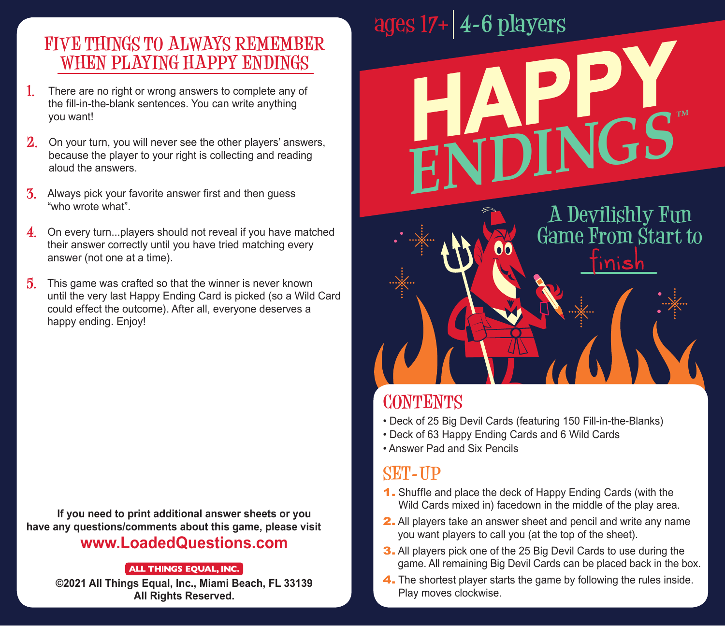#### **FIVE THINGS TO ALWAYS REMEMBER WHEN PLAYING HAPPY ENDINGS**

- **1.** There are no right or wrong answers to complete any of the fill-in-the-blank sentences. You can write anything you want!
- **2.** On your turn, you will never see the other players' answers, because the player to your right is collecting and reading aloud the answers.
- **3.** Always pick your favorite answer first and then guess "who wrote what".
- **4.** On every turn...players should not reveal if you have matched their answer correctly until you have tried matching every answer (not one at a time).
- **5.** This game was crafted so that the winner is never known until the very last Happy Ending Card is picked (so a Wild Card could effect the outcome). After all, everyone deserves a happy ending. Enjoy!

**If you need to print additional answer sheets or you have any questions/comments about this game, please visit**

#### **www.LoadedQuestions.com**

**ALL THINGS EQUAL, INC. ©2021 All Things Equal, Inc., Miami Beach, FL 33139 All Rights Reserved.**

# **ages 17**+ **4-6 players**

**A Devilishly Fun Game From Start to** inish

#### **CONTENTS**

• Deck of 25 Big Devil Cards (featuring 150 Fill-in-the-Blanks)

**HAPPY**

 $E$ NDINGS

- Deck of 63 Happy Ending Cards and 6 Wild Cards
- Answer Pad and Six Pencils

#### **SET-UP**

- 1. Shuffle and place the deck of Happy Ending Cards (with the Wild Cards mixed in) facedown in the middle of the play area.
- 2. All players take an answer sheet and pencil and write any name you want players to call you (at the top of the sheet).
- 3. All players pick one of the 25 Big Devil Cards to use during the game. All remaining Big Devil Cards can be placed back in the box.
- 4. The shortest player starts the game by following the rules inside. Play moves clockwise.